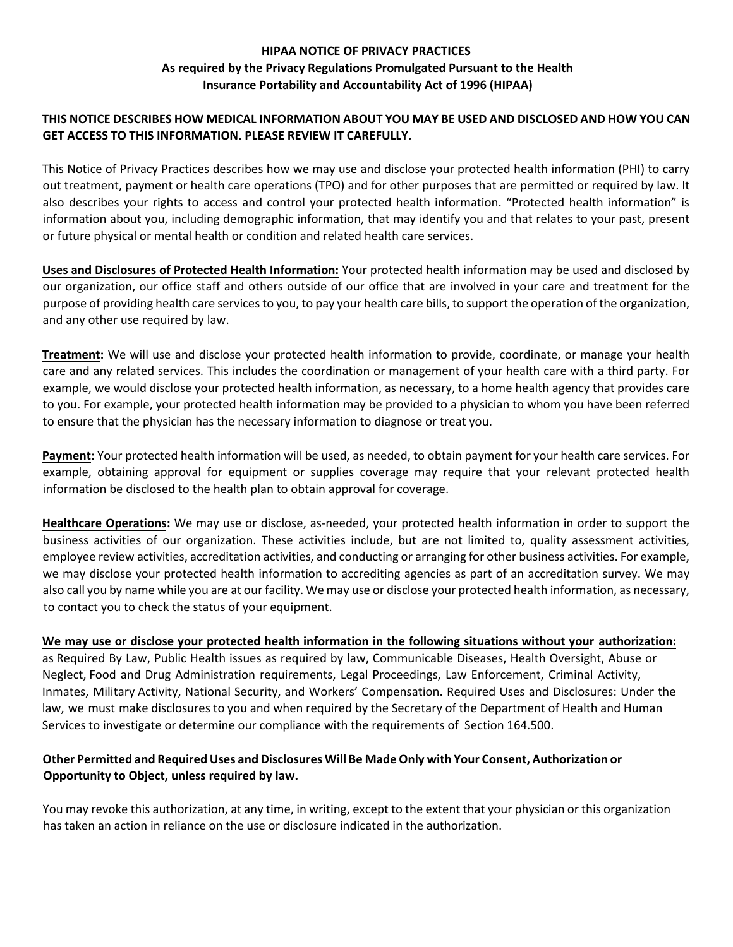# **HIPAA NOTICE OF PRIVACY PRACTICES As required by the Privacy Regulations Promulgated Pursuant to the Health Insurance Portability and Accountability Act of 1996 (HIPAA)**

## **THIS NOTICE DESCRIBES HOW MEDICAL INFORMATION ABOUT YOU MAY BE USED AND DISCLOSED AND HOW YOU CAN GET ACCESS TO THIS INFORMATION. PLEASE REVIEW IT CAREFULLY.**

This Notice of Privacy Practices describes how we may use and disclose your protected health information (PHI) to carry out treatment, payment or health care operations (TPO) and for other purposes that are permitted or required by law. It also describes your rights to access and control your protected health information. "Protected health information" is information about you, including demographic information, that may identify you and that relates to your past, present or future physical or mental health or condition and related health care services.

**Uses and Disclosures of Protected Health Information:** Your protected health information may be used and disclosed by our organization, our office staff and others outside of our office that are involved in your care and treatment for the purpose of providing health care services to you, to pay your health care bills, to support the operation of the organization, and any other use required by law.

**Treatment:** We will use and disclose your protected health information to provide, coordinate, or manage your health care and any related services. This includes the coordination or management of your health care with a third party. For example, we would disclose your protected health information, as necessary, to a home health agency that provides care to you. For example, your protected health information may be provided to a physician to whom you have been referred to ensure that the physician has the necessary information to diagnose or treat you.

**Payment:** Your protected health information will be used, as needed, to obtain payment for your health care services. For example, obtaining approval for equipment or supplies coverage may require that your relevant protected health information be disclosed to the health plan to obtain approval for coverage.

**Healthcare Operations:** We may use or disclose, as‐needed, your protected health information in order to support the business activities of our organization. These activities include, but are not limited to, quality assessment activities, employee review activities, accreditation activities, and conducting or arranging for other business activities. For example, we may disclose your protected health information to accrediting agencies as part of an accreditation survey. We may also call you by name while you are at our facility. We may use or disclose your protected health information, as necessary, to contact you to check the status of your equipment.

#### **We may use or disclose your protected health information in the following situations without your authorization:**

as Required By Law, Public Health issues as required by law, Communicable Diseases, Health Oversight, Abuse or Neglect, Food and Drug Administration requirements, Legal Proceedings, Law Enforcement, Criminal Activity, Inmates, Military Activity, National Security, and Workers' Compensation. Required Uses and Disclosures: Under the law, we must make disclosures to you and when required by the Secretary of the Department of Health and Human Services to investigate or determine our compliance with the requirements of Section 164.500.

# **Other Permitted and Required Uses and Disclosures Will Be Made Only with Your Consent, Authorization or Opportunity to Object, unless required by law.**

You may revoke this authorization, at any time, in writing, except to the extent that your physician or this organization has taken an action in reliance on the use or disclosure indicated in the authorization.